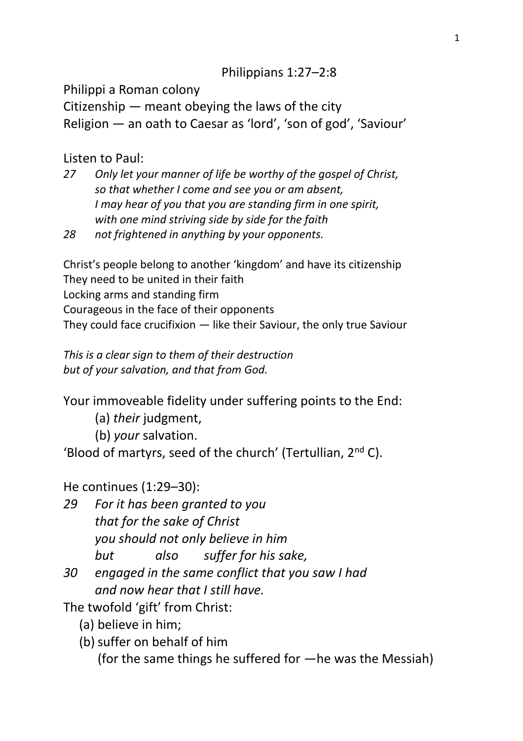## Philippians 1:27–2:8

Philippi a Roman colony

Citizenship — meant obeying the laws of the city Religion — an oath to Caesar as 'lord', 'son of god', 'Saviour'

Listen to Paul:

- *27 Only let your manner of life be worthy of the gospel of Christ, so that whether I come and see you or am absent, I may hear of you that you are standing firm in one spirit, with one mind striving side by side for the faith*
- *28 not frightened in anything by your opponents.*

Christ's people belong to another 'kingdom' and have its citizenship They need to be united in their faith Locking arms and standing firm Courageous in the face of their opponents They could face crucifixion — like their Saviour, the only true Saviour

*This is a clear sign to them of their destruction but of your salvation, and that from God.*

Your immoveable fidelity under suffering points to the End:

- (a) *their* judgment,
- (b) *your* salvation.

'Blood of martyrs, seed of the church' (Tertullian, 2nd C).

He continues (1:29–30):

- *29 For it has been granted to you that for the sake of Christ you should not only believe in him but also suffer for his sake,*
- *30 engaged in the same conflict that you saw I had and now hear that I still have.*

The twofold 'gift' from Christ:

- (a) believe in him;
- (b)suffer on behalf of him

(for the same things he suffered for —he was the Messiah)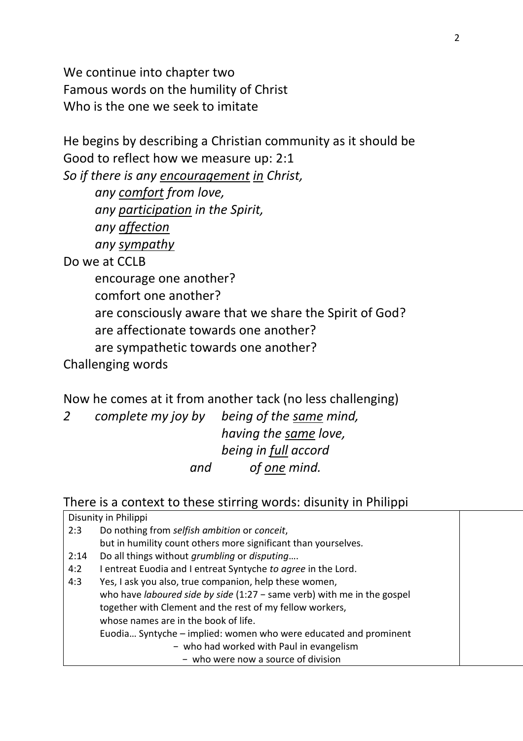We continue into chapter two Famous words on the humility of Christ Who is the one we seek to imitate

He begins by describing a Christian community as it should be Good to reflect how we measure up: 2:1 *So if there is any encouragement in Christ, any comfort from love, any participation in the Spirit, any affection any sympathy* Do we at CCLB encourage one another? comfort one another? are consciously aware that we share the Spirit of God? are affectionate towards one another? are sympathetic towards one another? Challenging words

Now he comes at it from another tack (no less challenging)

*2 complete my joy by being of the same mind, having the same love, being in full accord and of one mind.*

There is a context to these stirring words: disunity in Philippi

Disunity in Philippi

- 2:3 Do nothing from *selfish ambition* or *conceit*, but in humility count others more significant than yourselves*.*
- 2:14 Do all things without *grumbling* or *disputing*….
- 4:2 I entreat Euodia and I entreat Syntyche *to agree* in the Lord.

4:3 Yes, I ask you also, true companion, help these women, who have *laboured side by side* (1:27 − same verb) with me in the gospel together with Clement and the rest of my fellow workers, whose names are in the book of life. Euodia… Syntyche – implied: women who were educated and prominent − who had worked with Paul in evangelism − who were now a source of division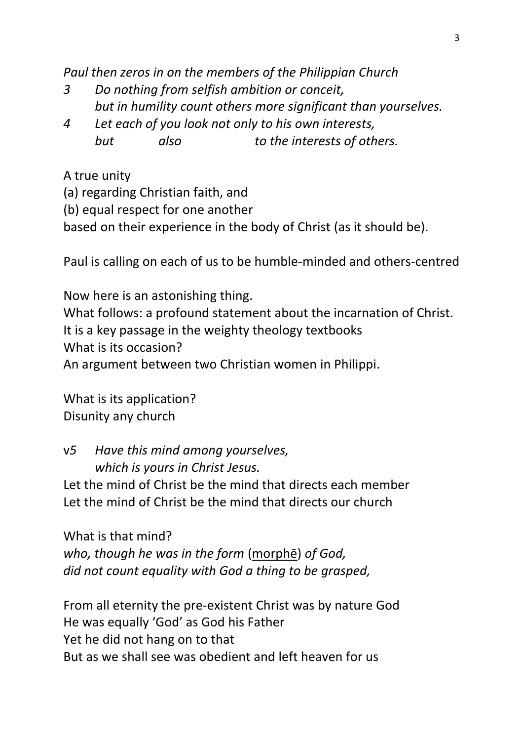*Paul then zeros in on the members of the Philippian Church*

- *3 Do nothing from selfish ambition or conceit, but in humility count others more significant than yourselves.*
- *4 Let each of you look not only to his own interests, but also to the interests of others.*

A true unity

(a) regarding Christian faith, and

(b) equal respect for one another

based on their experience in the body of Christ (as it should be).

Paul is calling on each of us to be humble-minded and others-centred

Now here is an astonishing thing. What follows: a profound statement about the incarnation of Christ. It is a key passage in the weighty theology textbooks What is its occasion? An argument between two Christian women in Philippi.

What is its application? Disunity any church

v*5 Have this mind among yourselves, which is yours in Christ Jesus.*

Let the mind of Christ be the mind that directs each member Let the mind of Christ be the mind that directs our church

What is that mind? *who, though he was in the form* (morphē) *of God, did not count equality with God a thing to be grasped,* 

From all eternity the pre-existent Christ was by nature God He was equally 'God' as God his Father Yet he did not hang on to that But as we shall see was obedient and left heaven for us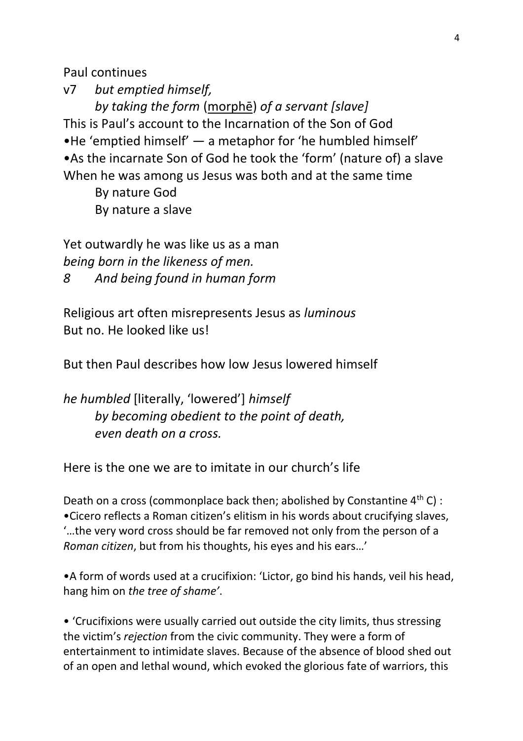Paul continues

v7 *but emptied himself, by taking the form* (morphē) *of a servant [slave]* This is Paul's account to the Incarnation of the Son of God •He 'emptied himself' — a metaphor for 'he humbled himself' •As the incarnate Son of God he took the 'form' (nature of) a slave When he was among us Jesus was both and at the same time By nature God

By nature a slave

Yet outwardly he was like us as a man *being born in the likeness of men. 8 And being found in human form* 

Religious art often misrepresents Jesus as *luminous* But no. He looked like us!

But then Paul describes how low Jesus lowered himself

*he humbled* [literally, 'lowered'] *himself by becoming obedient to the point of death, even death on a cross.*

Here is the one we are to imitate in our church's life

Death on a cross (commonplace back then; abolished by Constantine  $4<sup>th</sup>$  C) : •Cicero reflects a Roman citizen's elitism in his words about crucifying slaves, '…the very word cross should be far removed not only from the person of a *Roman citizen*, but from his thoughts, his eyes and his ears…'

•A form of words used at a crucifixion: 'Lictor, go bind his hands, veil his head, hang him on *the tree of shame'*.

• 'Crucifixions were usually carried out outside the city limits, thus stressing the victim's *rejection* from the civic community. They were a form of entertainment to intimidate slaves. Because of the absence of blood shed out of an open and lethal wound, which evoked the glorious fate of warriors, this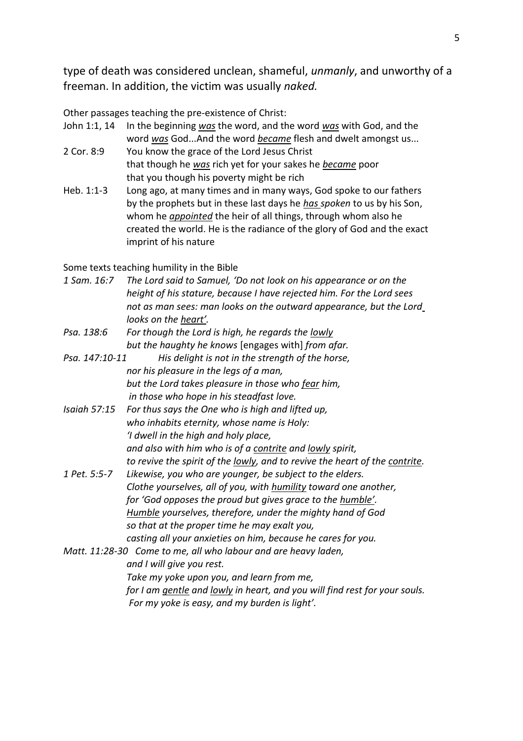type of death was considered unclean, shameful, *unmanly*, and unworthy of a freeman. In addition, the victim was usually *naked.*

Other passages teaching the pre-existence of Christ:

- John 1:1, 14 In the beginning *was* the word, and the word *was* with God, and the word *was* God...And the word *became* flesh and dwelt amongst us...
- 2 Cor. 8:9 You know the grace of the Lord Jesus Christ that though he *was* rich yet for your sakes he *became* poor that you though his poverty might be rich
- Heb. 1:1-3 Long ago, at many times and in many ways, God spoke to our fathers by the prophets but in these last days he *has spoken* to us by his Son, whom he *appointed* the heir of all things, through whom also he created the world. He is the radiance of the glory of God and the exact imprint of his nature

Some texts teaching humility in the Bible

| 1 Sam. 16:7                                                        | The Lord said to Samuel, 'Do not look on his appearance or on the           |
|--------------------------------------------------------------------|-----------------------------------------------------------------------------|
|                                                                    | height of his stature, because I have rejected him. For the Lord sees       |
|                                                                    | not as man sees: man looks on the outward appearance, but the Lord          |
|                                                                    | looks on the heart'.                                                        |
| Psa. 138:6                                                         | For though the Lord is high, he regards the lowly                           |
|                                                                    | but the haughty he knows [engages with] from afar.                          |
| Psa. 147:10-11<br>His delight is not in the strength of the horse, |                                                                             |
|                                                                    | nor his pleasure in the legs of a man,                                      |
|                                                                    | but the Lord takes pleasure in those who fear him,                          |
|                                                                    | in those who hope in his steadfast love.                                    |
| <b>Isaiah 57:15</b>                                                | For thus says the One who is high and lifted up,                            |
|                                                                    | who inhabits eternity, whose name is Holy:                                  |
|                                                                    | 'I dwell in the high and holy place,                                        |
|                                                                    | and also with him who is of a contrite and lowly spirit,                    |
|                                                                    | to revive the spirit of the lowly, and to revive the heart of the contrite. |
| 1 Pet. 5:5-7                                                       | Likewise, you who are younger, be subject to the elders.                    |
|                                                                    | Clothe yourselves, all of you, with humility toward one another,            |
|                                                                    | for 'God opposes the proud but gives grace to the humble'.                  |
|                                                                    | Humble yourselves, therefore, under the mighty hand of God                  |
|                                                                    | so that at the proper time he may exalt you,                                |
|                                                                    | casting all your anxieties on him, because he cares for you.                |
| Matt. 11:28-30 Come to me, all who labour and are heavy laden,     |                                                                             |
|                                                                    | and I will give you rest.                                                   |
|                                                                    | Take my yoke upon you, and learn from me,                                   |
|                                                                    | for I am gentle and lowly in heart, and you will find rest for your souls.  |
|                                                                    | For my yoke is easy, and my burden is light'.                               |